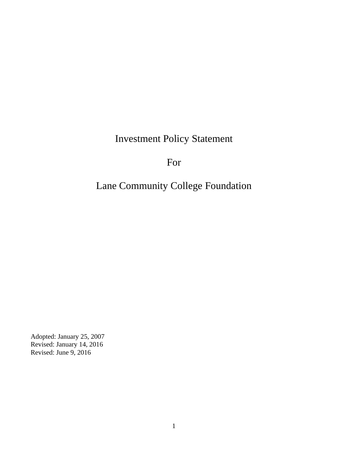Investment Policy Statement

For

Lane Community College Foundation

Adopted: January 25, 2007 Revised: January 14, 2016 Revised: June 9, 2016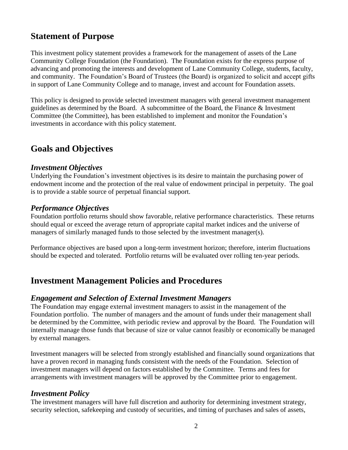# **Statement of Purpose**

This investment policy statement provides a framework for the management of assets of the Lane Community College Foundation (the Foundation). The Foundation exists for the express purpose of advancing and promoting the interests and development of Lane Community College, students, faculty, and community. The Foundation's Board of Trustees (the Board) is organized to solicit and accept gifts in support of Lane Community College and to manage, invest and account for Foundation assets.

This policy is designed to provide selected investment managers with general investment management guidelines as determined by the Board. A subcommittee of the Board, the Finance & Investment Committee (the Committee), has been established to implement and monitor the Foundation's investments in accordance with this policy statement.

# **Goals and Objectives**

#### *Investment Objectives*

Underlying the Foundation's investment objectives is its desire to maintain the purchasing power of endowment income and the protection of the real value of endowment principal in perpetuity. The goal is to provide a stable source of perpetual financial support.

#### *Performance Objectives*

Foundation portfolio returns should show favorable, relative performance characteristics. These returns should equal or exceed the average return of appropriate capital market indices and the universe of managers of similarly managed funds to those selected by the investment manager(s).

Performance objectives are based upon a long-term investment horizon; therefore, interim fluctuations should be expected and tolerated. Portfolio returns will be evaluated over rolling ten-year periods.

# **Investment Management Policies and Procedures**

#### *Engagement and Selection of External Investment Managers*

The Foundation may engage external investment managers to assist in the management of the Foundation portfolio. The number of managers and the amount of funds under their management shall be determined by the Committee, with periodic review and approval by the Board. The Foundation will internally manage those funds that because of size or value cannot feasibly or economically be managed by external managers.

Investment managers will be selected from strongly established and financially sound organizations that have a proven record in managing funds consistent with the needs of the Foundation. Selection of investment managers will depend on factors established by the Committee. Terms and fees for arrangements with investment managers will be approved by the Committee prior to engagement.

#### *Investment Policy*

The investment managers will have full discretion and authority for determining investment strategy, security selection, safekeeping and custody of securities, and timing of purchases and sales of assets,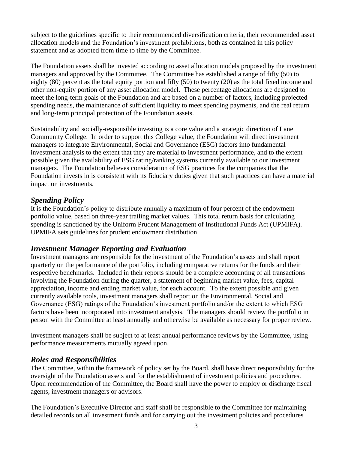subject to the guidelines specific to their recommended diversification criteria, their recommended asset allocation models and the Foundation's investment prohibitions, both as contained in this policy statement and as adopted from time to time by the Committee.

The Foundation assets shall be invested according to asset allocation models proposed by the investment managers and approved by the Committee. The Committee has established a range of fifty (50) to eighty (80) percent as the total equity portion and fifty (50) to twenty (20) as the total fixed income and other non-equity portion of any asset allocation model. These percentage allocations are designed to meet the long-term goals of the Foundation and are based on a number of factors, including projected spending needs, the maintenance of sufficient liquidity to meet spending payments, and the real return and long-term principal protection of the Foundation assets.

Sustainability and socially-responsible investing is a core value and a strategic direction of Lane Community College. In order to support this College value, the Foundation will direct investment managers to integrate Environmental, Social and Governance (ESG) factors into fundamental investment analysis to the extent that they are material to investment performance, and to the extent possible given the availability of ESG rating/ranking systems currently available to our investment managers. The Foundation believes consideration of ESG practices for the companies that the Foundation invests in is consistent with its fiduciary duties given that such practices can have a material impact on investments.

#### *Spending Policy*

It is the Foundation's policy to distribute annually a maximum of four percent of the endowment portfolio value, based on three-year trailing market values. This total return basis for calculating spending is sanctioned by the Uniform Prudent Management of Institutional Funds Act (UPMIFA). UPMIFA sets guidelines for prudent endowment distribution.

## *Investment Manager Reporting and Evaluation*

Investment managers are responsible for the investment of the Foundation's assets and shall report quarterly on the performance of the portfolio, including comparative returns for the funds and their respective benchmarks. Included in their reports should be a complete accounting of all transactions involving the Foundation during the quarter, a statement of beginning market value, fees, capital appreciation, income and ending market value, for each account. To the extent possible and given currently available tools, investment managers shall report on the Environmental, Social and Governance (ESG) ratings of the Foundation's investment portfolio and/or the extent to which ESG factors have been incorporated into investment analysis. The managers should review the portfolio in person with the Committee at least annually and otherwise be available as necessary for proper review.

Investment managers shall be subject to at least annual performance reviews by the Committee, using performance measurements mutually agreed upon.

## *Roles and Responsibilities*

The Committee, within the framework of policy set by the Board, shall have direct responsibility for the oversight of the Foundation assets and for the establishment of investment policies and procedures. Upon recommendation of the Committee, the Board shall have the power to employ or discharge fiscal agents, investment managers or advisors.

The Foundation's Executive Director and staff shall be responsible to the Committee for maintaining detailed records on all investment funds and for carrying out the investment policies and procedures